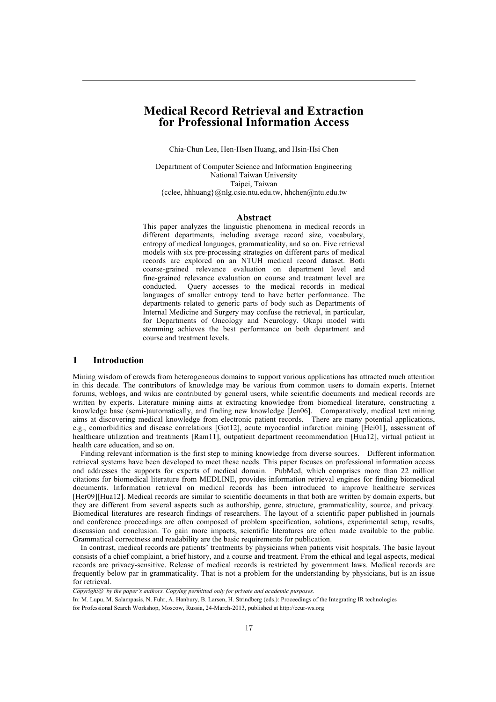# **Medical Record Retrieval and Extraction for Professional Information Access**

Chia-Chun Lee, Hen-Hsen Huang, and Hsin-Hsi Chen

Department of Computer Science and Information Engineering National Taiwan University Taipei, Taiwan {cclee, hhhuang}@nlg.csie.ntu.edu.tw, hhchen@ntu.edu.tw

#### **Abstract**

This paper analyzes the linguistic phenomena in medical records in different departments, including average record size, vocabulary, entropy of medical languages, grammaticality, and so on. Five retrieval models with six pre-processing strategies on different parts of medical records are explored on an NTUH medical record dataset. Both coarse-grained relevance evaluation on department level and fine-grained relevance evaluation on course and treatment level are conducted. Query accesses to the medical records in medical languages of smaller entropy tend to have better performance. The departments related to generic parts of body such as Departments of Internal Medicine and Surgery may confuse the retrieval, in particular, for Departments of Oncology and Neurology. Okapi model with stemming achieves the best performance on both department and course and treatment levels.

### **1 Introduction**

Mining wisdom of crowds from heterogeneous domains to support various applications has attracted much attention in this decade. The contributors of knowledge may be various from common users to domain experts. Internet forums, weblogs, and wikis are contributed by general users, while scientific documents and medical records are written by experts. Literature mining aims at extracting knowledge from biomedical literature, constructing a knowledge base (semi-)automatically, and finding new knowledge [Jen06]. Comparatively, medical text mining aims at discovering medical knowledge from electronic patient records. There are many potential applications, e.g., comorbidities and disease correlations [Got12], acute myocardial infarction mining [Hei01], assessment of healthcare utilization and treatments [Ram11], outpatient department recommendation [Hua12], virtual patient in health care education, and so on.

Finding relevant information is the first step to mining knowledge from diverse sources. Different information retrieval systems have been developed to meet these needs. This paper focuses on professional information access and addresses the supports for experts of medical domain. PubMed, which comprises more than 22 million citations for biomedical literature from MEDLINE, provides information retrieval engines for finding biomedical documents. Information retrieval on medical records has been introduced to improve healthcare services [Her09][Hua12]. Medical records are similar to scientific documents in that both are written by domain experts, but they are different from several aspects such as authorship, genre, structure, grammaticality, source, and privacy. Biomedical literatures are research findings of researchers. The layout of a scientific paper published in journals and conference proceedings are often composed of problem specification, solutions, experimental setup, results, discussion and conclusion. To gain more impacts, scientific literatures are often made available to the public. Grammatical correctness and readability are the basic requirements for publication.

In contrast, medical records are patients' treatments by physicians when patients visit hospitals. The basic layout consists of a chief complaint, a brief history, and a course and treatment. From the ethical and legal aspects, medical records are privacy-sensitive. Release of medical records is restricted by government laws. Medical records are frequently below par in grammaticality. That is not a problem for the understanding by physicians, but is an issue for retrieval.

*Copyright*© *by the paper's authors. Copying permitted only for private and academic purposes.*

In: M. Lupu, M. Salampasis, N. Fuhr, A. Hanbury, B. Larsen, H. Strindberg (eds.): Proceedings of the Integrating IR technologies for Professional Search Workshop, Moscow, Russia, 24-March-2013, published at http://ceur-ws.org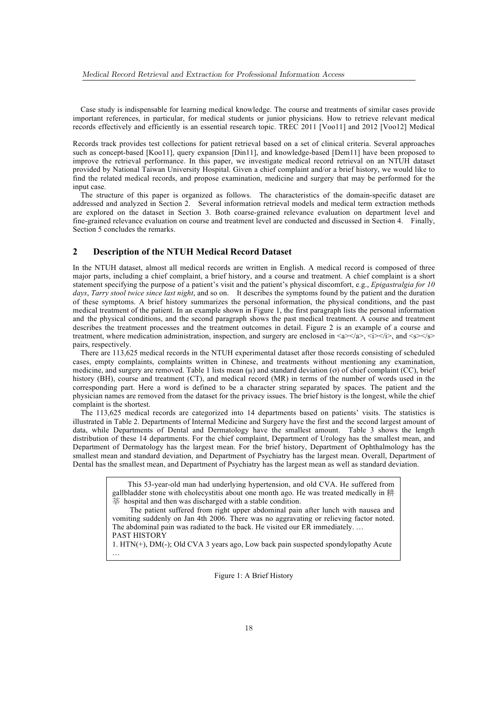Case study is indispensable for learning medical knowledge. The course and treatments of similar cases provide important references, in particular, for medical students or junior physicians. How to retrieve relevant medical records effectively and efficiently is an essential research topic. TREC 2011 [Voo11] and 2012 [Voo12] Medical

Records track provides test collections for patient retrieval based on a set of clinical criteria. Several approaches such as concept-based [Koo11], query expansion [Din11], and knowledge-based [Dem11] have been proposed to improve the retrieval performance. In this paper, we investigate medical record retrieval on an NTUH dataset provided by National Taiwan University Hospital. Given a chief complaint and/or a brief history, we would like to find the related medical records, and propose examination, medicine and surgery that may be performed for the input case.

The structure of this paper is organized as follows. The characteristics of the domain-specific dataset are addressed and analyzed in Section 2. Several information retrieval models and medical term extraction methods are explored on the dataset in Section 3. Both coarse-grained relevance evaluation on department level and fine-grained relevance evaluation on course and treatment level are conducted and discussed in Section 4. Finally, Section 5 concludes the remarks.

## **2 Description of the NTUH Medical Record Dataset**

In the NTUH dataset, almost all medical records are written in English. A medical record is composed of three major parts, including a chief complaint, a brief history, and a course and treatment. A chief complaint is a short statement specifying the purpose of a patient's visit and the patient's physical discomfort, e.g., *Epigastralgia for 10 days*, *Tarry stool twice since last night*, and so on. It describes the symptoms found by the patient and the duration of these symptoms. A brief history summarizes the personal information, the physical conditions, and the past medical treatment of the patient. In an example shown in Figure 1, the first paragraph lists the personal information and the physical conditions, and the second paragraph shows the past medical treatment. A course and treatment describes the treatment processes and the treatment outcomes in detail. Figure 2 is an example of a course and treatment, where medication administration, inspection, and surgery are enclosed in  $\langle a \rangle \langle a \rangle$ ,  $\langle a \rangle \langle a \rangle$ , and  $\langle s \rangle \langle s \rangle$ pairs, respectively.

There are 113,625 medical records in the NTUH experimental dataset after those records consisting of scheduled cases, empty complaints, complaints written in Chinese, and treatments without mentioning any examination, medicine, and surgery are removed. Table 1 lists mean  $(u)$  and standard deviation  $(\sigma)$  of chief complaint (CC), brief history (BH), course and treatment (CT), and medical record (MR) in terms of the number of words used in the corresponding part. Here a word is defined to be a character string separated by spaces. The patient and the physician names are removed from the dataset for the privacy issues. The brief history is the longest, while the chief complaint is the shortest.

The 113,625 medical records are categorized into 14 departments based on patients' visits. The statistics is illustrated in Table 2. Departments of Internal Medicine and Surgery have the first and the second largest amount of data, while Departments of Dental and Dermatology have the smallest amount. Table 3 shows the length distribution of these 14 departments. For the chief complaint, Department of Urology has the smallest mean, and Department of Dermatology has the largest mean. For the brief history, Department of Ophthalmology has the smallest mean and standard deviation, and Department of Psychiatry has the largest mean. Overall, Department of Dental has the smallest mean, and Department of Psychiatry has the largest mean as well as standard deviation.

> This 53-year-old man had underlying hypertension, and old CVA. He suffered from gallbladder stone with cholecystitis about one month ago. He was treated medically in  $\ddot{\Xi}$  hospital and then was discharged with a stable condition.

> The patient suffered from right upper abdominal pain after lunch with nausea and vomiting suddenly on Jan 4th 2006. There was no aggravating or relieving factor noted. The abdominal pain was radiated to the back. He visited our ER immediately. … PAST HISTORY

1. HTN(+), DM(-); Old CVA 3 years ago, Low back pain suspected spondylopathy Acute …

Figure 1: A Brief History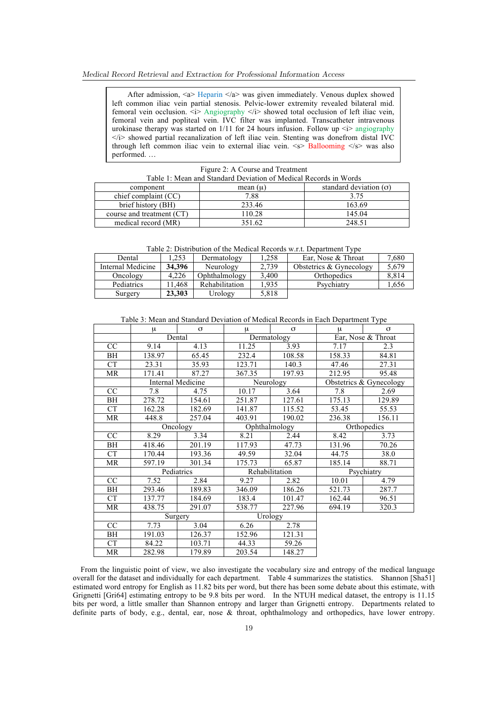#### Medical Record Retrieval and Extraction for Professional Information Access

After admission, <a> Heparin </a> was given immediately. Venous duplex showed left common iliac vein partial stenosis. Pelvic-lower extremity revealed bilateral mid. femoral vein occlusion.  $\overline{\langle i \rangle}$  Angiography  $\langle i \rangle$  showed total occlusion of left iliac vein, femoral vein and popliteal vein. IVC filter was implanted. Transcatheter intravenous urokinase therapy was started on  $1/11$  for 24 hours infusion. Follow up  $\langle i \rangle$  angiography  $\langle i \rangle$  showed partial recanalization of left iliac vein. Stenting was donefrom distal IVC through left common iliac vein to external iliac vein.  $\langle s \rangle$  Ballooming  $\langle s \rangle$  was also performed. …

#### Figure 2: A Course and Treatment

| Table 1: Mean and Standard Deviation of Medical Records in Words |            |                               |  |  |  |  |  |
|------------------------------------------------------------------|------------|-------------------------------|--|--|--|--|--|
| component                                                        | mean $(u)$ | standard deviation $(\sigma)$ |  |  |  |  |  |
| chief complaint (CC)                                             | 7.88       | 3.75                          |  |  |  |  |  |
| brief history (BH)                                               | 233.46     | 163.69                        |  |  |  |  |  |
| course and treatment (CT)                                        | 110.28     | 145 04                        |  |  |  |  |  |
| medical record (MR)                                              | 351.62     | 248.51                        |  |  |  |  |  |

Table 2: Distribution of the Medical Records w.r.t. Department Type

| Dental            | .253   | Dermatology    | 1.258 | Ear, Nose & Throat      | 7.680 |
|-------------------|--------|----------------|-------|-------------------------|-------|
| Internal Medicine | 34.396 | Neurology      | 2,739 | Obstetrics & Gynecology | 5.679 |
| Oncology          | 4.226  | Ophthalmology  | 3.400 | Orthopedics             | 8.814 |
| Pediatrics        | 1.468  | Rehabilitation | 1.935 | Psychiatry              | 1,656 |
| Surgery           | 23,303 | Urology        | 5,818 |                         |       |

Table 3: Mean and Standard Deviation of Medical Records in Each Department Type

| μ      | $\sigma$ | μ                                                                       | $\sigma$ | μ                                                    | $\sigma$                |  |
|--------|----------|-------------------------------------------------------------------------|----------|------------------------------------------------------|-------------------------|--|
|        |          |                                                                         |          |                                                      | Ear, Nose & Throat      |  |
| 9.14   | 4.13     | 11.25                                                                   | 3.93     | 7.17                                                 | 2.3                     |  |
| 138.97 | 65.45    | 232.4                                                                   | 108.58   | 158.33                                               | 84.81                   |  |
| 23.31  | 35.93    | 123.71                                                                  | 140.3    | 47.46                                                | 27.31                   |  |
| 171.41 | 87.27    | 367.35                                                                  | 197.93   | 212.95                                               | 95.48                   |  |
|        |          |                                                                         |          |                                                      | Obstetrics & Gynecology |  |
| 7.8    | 4.75     | 10.17                                                                   | 3.64     | 7.8                                                  | 2.69                    |  |
| 278.72 | 154.61   | 251.87                                                                  | 127.61   | 175.13                                               | 129.89                  |  |
| 162.28 | 182.69   | 141.87                                                                  | 115.52   | 53.45                                                | 55.53                   |  |
| 448.8  | 257.04   | 403.91                                                                  | 190.02   | 236.38                                               | 156.11                  |  |
|        |          |                                                                         |          | Orthopedics                                          |                         |  |
| 8.29   | 3.34     | 8.21                                                                    | 2.44     | 8.42                                                 | 3.73                    |  |
| 418.46 | 201.19   | 117.93                                                                  | 47.73    | 131.96                                               | 70.26                   |  |
| 170.44 | 193.36   | 49.59                                                                   | 32.04    | 44.75                                                | 38.0                    |  |
| 597.19 | 301.34   | 175.73                                                                  | 65.87    | 185.14                                               | 88.71                   |  |
|        |          | Rehabilitation                                                          |          | Psychiatry                                           |                         |  |
| 7.52   | 2.84     | 9.27                                                                    | 2.82     | 10.01                                                | 4.79                    |  |
| 293.46 | 189.83   | 346.09                                                                  | 186.26   | 521.73                                               | 287.7                   |  |
| 137.77 | 184.69   | 183.4                                                                   | 101.47   | 162.44                                               | 96.51                   |  |
| 438.75 | 291.07   | 538.77                                                                  | 227.96   | 694.19                                               | 320.3                   |  |
|        |          |                                                                         |          |                                                      |                         |  |
| 7.73   | 3.04     | 6.26                                                                    | 2.78     |                                                      |                         |  |
| 191.03 | 126.37   | 152.96                                                                  | 121.31   |                                                      |                         |  |
| 84.22  | 103.71   | 44.33                                                                   | 59.26    |                                                      |                         |  |
| 282.98 | 179.89   | 203.54                                                                  | 148.27   |                                                      |                         |  |
|        |          | Dental<br>Internal Medicine<br><b>Oncology</b><br>Pediatrics<br>Surgery |          | Dermatology<br>Neurology<br>Ophthalmology<br>Urology |                         |  |

From the linguistic point of view, we also investigate the vocabulary size and entropy of the medical language overall for the dataset and individually for each department. Table 4 summarizes the statistics. Shannon [Sha51] estimated word entropy for English as 11.82 bits per word, but there has been some debate about this estimate, with Grignetti [Gri64] estimating entropy to be 9.8 bits per word. In the NTUH medical dataset, the entropy is 11.15 bits per word, a little smaller than Shannon entropy and larger than Grignetti entropy. Departments related to definite parts of body, e.g., dental, ear, nose & throat, ophthalmology and orthopedics, have lower entropy.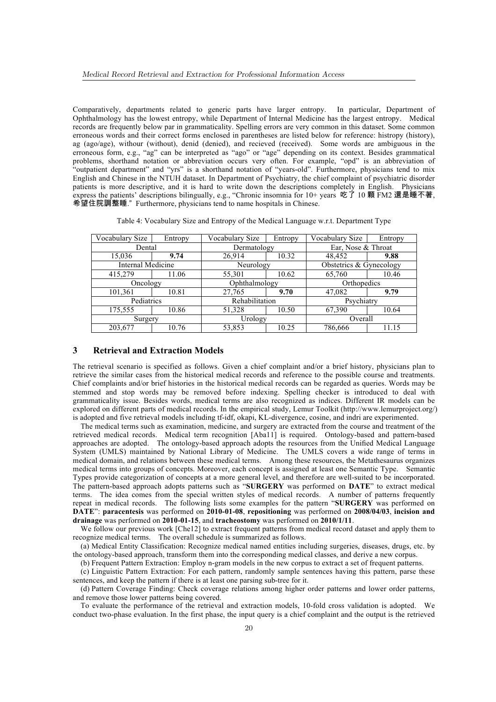Comparatively, departments related to generic parts have larger entropy. In particular, Department of Ophthalmology has the lowest entropy, while Department of Internal Medicine has the largest entropy. Medical records are frequently below par in grammaticality. Spelling errors are very common in this dataset. Some common erroneous words and their correct forms enclosed in parentheses are listed below for reference: histropy (history), ag (ago/age), withour (without), denid (denied), and recieved (received). Some words are ambiguous in the erroneous form, e.g., "ag" can be interpreted as "ago" or "age" depending on its context. Besides grammatical problems, shorthand notation or abbreviation occurs very often. For example, "opd" is an abbreviation of "outpatient department" and "yrs" is a shorthand notation of "years-old". Furthermore, physicians tend to mix English and Chinese in the NTUH dataset. In Department of Psychiatry, the chief complaint of psychiatric disorder patients is more descriptive, and it is hard to write down the descriptions completely in English. Physicians express the patients' descriptions bilingually, e.g., "Chronic insomnia for 10+ years 吃了 10 顆 FM2 還是睡不著, 希望住院調整睡."Furthermore, physicians tend to name hospitals in Chinese.

Table 4: Vocabulary Size and Entropy of the Medical Language w.r.t. Department Type

| Vocabulary Size   | Entropy | Vocabulary Size | Entropy | Vocabulary Size         | Entropy |  |
|-------------------|---------|-----------------|---------|-------------------------|---------|--|
| Dental            |         | Dermatology     |         | Ear, Nose & Throat      |         |  |
| 15,036            | 9.74    | 26,914          | 10.32   | 48,452                  | 9.88    |  |
| Internal Medicine |         | Neurology       |         | Obstetrics & Gynecology |         |  |
| 415,279           | 11.06   | 55,301          | 10.62   |                         | 10.46   |  |
| Oncology          |         | Ophthalmology   |         | Orthopedics             |         |  |
| 101,361           | 10.81   | 27,765          | 9.70    | 47,082                  | 9.79    |  |
| Pediatrics        |         | Rehabilitation  |         | Psychiatry              |         |  |
| 175,555           | 10.86   | 51,328          | 10.50   | 67,390                  | 10.64   |  |
| Surgery           |         | Urology         |         | Overall                 |         |  |
| 203,677           | 10.76   | 53,853          | 10.25   | 786,666                 | 11.15   |  |

#### **3 Retrieval and Extraction Models**

The retrieval scenario is specified as follows. Given a chief complaint and/or a brief history, physicians plan to retrieve the similar cases from the historical medical records and reference to the possible course and treatments. Chief complaints and/or brief histories in the historical medical records can be regarded as queries. Words may be stemmed and stop words may be removed before indexing. Spelling checker is introduced to deal with grammaticality issue. Besides words, medical terms are also recognized as indices. Different IR models can be explored on different parts of medical records. In the empirical study, Lemur Toolkit (http://www.lemurproject.org/) is adopted and five retrieval models including tf-idf, okapi, KL-divergence, cosine, and indri are experimented.

The medical terms such as examination, medicine, and surgery are extracted from the course and treatment of the retrieved medical records. Medical term recognition [Aba11] is required. Ontology-based and pattern-based approaches are adopted. The ontology-based approach adopts the resources from the Unified Medical Language System (UMLS) maintained by National Library of Medicine. The UMLS covers a wide range of terms in medical domain, and relations between these medical terms. Among these resources, the Metathesaurus organizes medical terms into groups of concepts. Moreover, each concept is assigned at least one Semantic Type. Semantic Types provide categorization of concepts at a more general level, and therefore are well-suited to be incorporated. The pattern-based approach adopts patterns such as "**SURGERY** was performed on **DATE**" to extract medical terms. The idea comes from the special written styles of medical records. A number of patterns frequently repeat in medical records. The following lists some examples for the pattern "**SURGERY** was performed on **DATE**": **paracentesis** was performed on **2010-01-08**, **repositioning** was performed on **2008/04/03**, **incision and drainage** was performed on **2010-01-15**, and **tracheostomy** was performed on **2010/1/11**.

We follow our previous work [Che12] to extract frequent patterns from medical record dataset and apply them to recognize medical terms. The overall schedule is summarized as follows.

(a) Medical Entity Classification: Recognize medical named entities including surgeries, diseases, drugs, etc. by the ontology-based approach, transform them into the corresponding medical classes, and derive a new corpus.

(b) Frequent Pattern Extraction: Employ n-gram models in the new corpus to extract a set of frequent patterns.

(c) Linguistic Pattern Extraction: For each pattern, randomly sample sentences having this pattern, parse these sentences, and keep the pattern if there is at least one parsing sub-tree for it.

(d) Pattern Coverage Finding: Check coverage relations among higher order patterns and lower order patterns, and remove those lower patterns being covered.

To evaluate the performance of the retrieval and extraction models, 10-fold cross validation is adopted. We conduct two-phase evaluation. In the first phase, the input query is a chief complaint and the output is the retrieved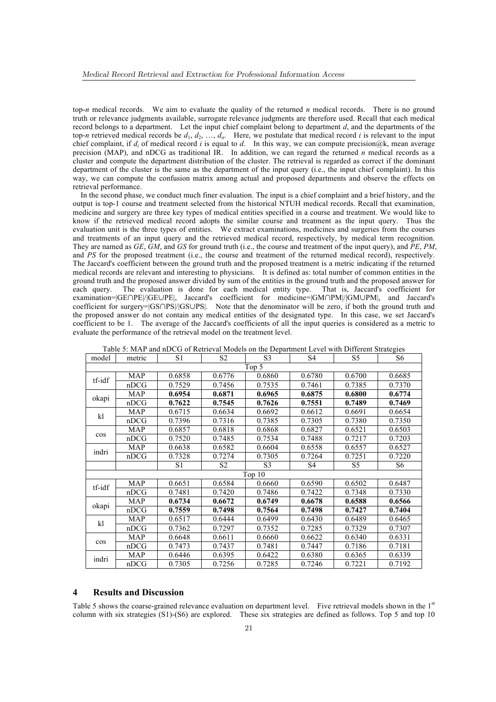top-*n* medical records. We aim to evaluate the quality of the returned *n* medical records. There is no ground truth or relevance judgments available, surrogate relevance judgments are therefore used. Recall that each medical record belongs to a department. Let the input chief complaint belong to department *d*, and the departments of the top-*n* retrieved medical records be  $d_1, d_2, ..., d_n$ . Here, we postulate that medical record *i* is relevant to the input chief complaint, if  $d_i$  of medical record *i* is equal to  $d$ . In this way, we can compute precision@k, mean average precision (MAP), and nDCG as traditional IR. In addition, we can regard the returned *n* medical records as a cluster and compute the department distribution of the cluster. The retrieval is regarded as correct if the dominant department of the cluster is the same as the department of the input query (i.e., the input chief complaint). In this way, we can compute the confusion matrix among actual and proposed departments and observe the effects on retrieval performance.

In the second phase, we conduct much finer evaluation. The input is a chief complaint and a brief history, and the output is top-1 course and treatment selected from the historical NTUH medical records. Recall that examination, medicine and surgery are three key types of medical entities specified in a course and treatment. We would like to know if the retrieved medical record adopts the similar course and treatment as the input query. Thus the evaluation unit is the three types of entities. We extract examinations, medicines and surgeries from the courses and treatments of an input query and the retrieved medical record, respectively, by medical term recognition. They are named as *GE*, *GM*, and *GS* for ground truth (i.e., the course and treatment of the input query), and *PE*, *PM*, and *PS* for the proposed treatment (i.e., the course and treatment of the returned medical record), respectively. The Jaccard's coefficient between the ground truth and the proposed treatment is a metric indicating if the returned medical records are relevant and interesting to physicians. It is defined as: total number of common entities in the ground truth and the proposed answer divided by sum of the entities in the ground truth and the proposed answer for each query. The evaluation is done for each medical entity type. That is, Jaccard's coefficient for examination=|GE∩PE|/|GE∪PE|, Jaccard's coefficient for medicine=|GM∩PM|/|GM∪PM|, and Jaccard's coefficient for surgery=|GS∩PS|/|GS∪PS|. Note that the denominator will be zero, if both the ground truth and the proposed answer do not contain any medical entities of the designated type. In this case, we set Jaccard's coefficient to be 1. The average of the Jaccard's coefficients of all the input queries is considered as a metric to evaluate the performance of the retrieval model on the treatment level.

|        |            |                |                |                |                |                | ັ              |
|--------|------------|----------------|----------------|----------------|----------------|----------------|----------------|
| model  | metric     | S <sub>1</sub> | S <sub>2</sub> | S <sub>3</sub> | S <sub>4</sub> | S <sub>5</sub> | S <sub>6</sub> |
|        |            |                |                | Top 5          |                |                |                |
| tf-idf | MAP        | 0.6858         | 0.6776         | 0.6860         | 0.6780         | 0.6700         | 0.6685         |
|        | nDCG       | 0.7529         | 0.7456         | 0.7535         | 0.7461         | 0.7385         | 0.7370         |
|        | <b>MAP</b> | 0.6954         | 0.6871         | 0.6965         | 0.6875         | 0.6800         | 0.6774         |
| okapi  | nDCG       | 0.7622         | 0.7545         | 0.7626         | 0.7551         | 0.7489         | 0.7469         |
| kl     | <b>MAP</b> | 0.6715         | 0.6634         | 0.6692         | 0.6612         | 0.6691         | 0.6654         |
|        | nDCG       | 0.7396         | 0.7316         | 0.7385         | 0.7305         | 0.7380         | 0.7350         |
|        | <b>MAP</b> | 0.6857         | 0.6818         | 0.6868         | 0.6827         | 0.6521         | 0.6503         |
| cos    | nDCG       | 0.7520         | 0.7485         | 0.7534         | 0.7488         | 0.7217         | 0.7203         |
| indri  | <b>MAP</b> | 0.6638         | 0.6582         | 0.6604         | 0.6558         | 0.6557         | 0.6527         |
|        | nDCG       | 0.7328         | 0.7274         | 0.7305         | 0.7264         | 0.7251         | 0.7220         |
|        |            | S1             | S <sub>2</sub> | S <sub>3</sub> | S4             | S5             | S <sub>6</sub> |
|        |            |                |                | Top 10         |                |                |                |
| tf-idf | <b>MAP</b> | 0.6651         | 0.6584         | 0.6660         | 0.6590         | 0.6502         | 0.6487         |
|        | nDCG       | 0.7481         | 0.7420         | 0.7486         | 0.7422         | 0.7348         | 0.7330         |
| okapi  | <b>MAP</b> | 0.6734         | 0.6672         | 0.6749         | 0.6678         | 0.6588         | 0.6566         |
|        | nDCG       | 0.7559         | 0.7498         | 0.7564         | 0.7498         | 0.7427         | 0.7404         |
| kl     | <b>MAP</b> | 0.6517         | 0.6444         | 0.6499         | 0.6430         | 0.6489         | 0.6465         |
|        | nDCG       | 0.7362         | 0.7297         | 0.7352         | 0.7285         | 0.7329         | 0.7307         |
|        | <b>MAP</b> | 0.6648         | 0.6611         | 0.6660         | 0.6622         | 0.6340         | 0.6331         |
| $\cos$ | nDCG       | 0.7473         | 0.7437         | 0.7481         | 0.7447         | 0.7186         | 0.7181         |
|        | MAP        | 0.6446         | 0.6395         | 0.6422         | 0.6380         | 0.6365         | 0.6339         |
| indri  | nDCG       | 0.7305         | 0.7256         | 0.7285         | 0.7246         | 0.7221         | 0.7192         |

Table 5: MAP and nDCG of Retrieval Models on the Department Level with Different Strategies

#### **4 Results and Discussion**

Table 5 shows the coarse-grained relevance evaluation on department level. Five retrieval models shown in the 1<sup>st</sup> column with six strategies (S1)-(S6) are explored. These six strategies are defined as follows. Top 5 and top 10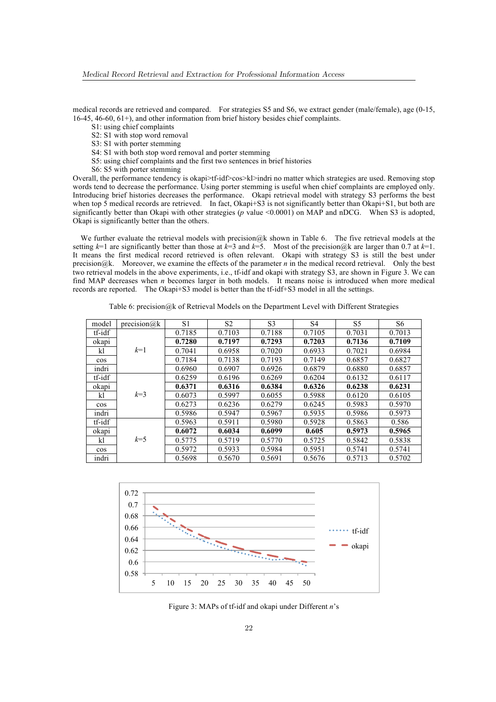medical records are retrieved and compared. For strategies S5 and S6, we extract gender (male/female), age (0-15, 16-45, 46-60, 61+), and other information from brief history besides chief complaints.

- S1: using chief complaints
- S2: S1 with stop word removal
- S3: S1 with porter stemming
- S4: S1 with both stop word removal and porter stemming
- S5: using chief complaints and the first two sentences in brief histories
- S6: S5 with porter stemming

Overall, the performance tendency is okapi>tf-idf>cos>kl>indri no matter which strategies are used. Removing stop words tend to decrease the performance. Using porter stemming is useful when chief complaints are employed only. Introducing brief histories decreases the performance. Okapi retrieval model with strategy S3 performs the best when top 5 medical records are retrieved. In fact, Okapi+S3 is not significantly better than Okapi+S1, but both are significantly better than Okapi with other strategies (*p* value <0.0001) on MAP and nDCG. When S3 is adopted, Okapi is significantly better than the others.

We further evaluate the retrieval models with precision@k shown in Table 6. The five retrieval models at the setting  $k=1$  are significantly better than those at  $k=3$  and  $k=5$ . Most of the precision@k are larger than 0.7 at  $k=1$ . It means the first medical record retrieved is often relevant. Okapi with strategy S3 is still the best under precision@k. Moreover, we examine the effects of the parameter *n* in the medical record retrieval. Only the best two retrieval models in the above experiments, i.e., tf-idf and okapi with strategy S3, are shown in Figure 3. We can find MAP decreases when *n* becomes larger in both models. It means noise is introduced when more medical records are reported. The Okapi+S3 model is better than the tf-idf+S3 model in all the settings.

Table 6: precision@k of Retrieval Models on the Department Level with Different Strategies

| model  | precision@ $k$ | S <sub>1</sub> | S <sub>2</sub> | S <sub>3</sub> | S <sub>4</sub> | S5     | S6     |
|--------|----------------|----------------|----------------|----------------|----------------|--------|--------|
| tf-idf |                | 0.7185         | 0.7103         | 0.7188         | 0.7105         | 0.7031 | 0.7013 |
| okapi  |                | 0.7280         | 0.7197         | 0.7293         | 0.7203         | 0.7136 | 0.7109 |
| kl     | $k=1$          | 0.7041         | 0.6958         | 0.7020         | 0.6933         | 0.7021 | 0.6984 |
| $\cos$ |                | 0.7184         | 0.7138         | 0.7193         | 0.7149         | 0.6857 | 0.6827 |
| indri  |                | 0.6960         | 0.6907         | 0.6926         | 0.6879         | 0.6880 | 0.6857 |
| tf-idf |                | 0.6259         | 0.6196         | 0.6269         | 0.6204         | 0.6132 | 0.6117 |
| okapi  |                | 0.6371         | 0.6316         | 0.6384         | 0.6326         | 0.6238 | 0.6231 |
| kl     | $k=3$          | 0.6073         | 0.5997         | 0.6055         | 0.5988         | 0.6120 | 0.6105 |
| $\cos$ |                | 0.6273         | 0.6236         | 0.6279         | 0.6245         | 0.5983 | 0.5970 |
| indri  |                | 0.5986         | 0.5947         | 0.5967         | 0.5935         | 0.5986 | 0.5973 |
| tf-idf |                | 0.5963         | 0.5911         | 0.5980         | 0.5928         | 0.5863 | 0.586  |
| okapi  |                | 0.6072         | 0.6034         | 0.6099         | 0.605          | 0.5973 | 0.5965 |
| kl     | $k=5$          | 0.5775         | 0.5719         | 0.5770         | 0.5725         | 0.5842 | 0.5838 |
| $\cos$ |                | 0.5972         | 0.5933         | 0.5984         | 0.5951         | 0.5741 | 0.5741 |
| indri  |                | 0.5698         | 0.5670         | 0.5691         | 0.5676         | 0.5713 | 0.5702 |



Figure 3: MAPs of tf-idf and okapi under Different *n*'s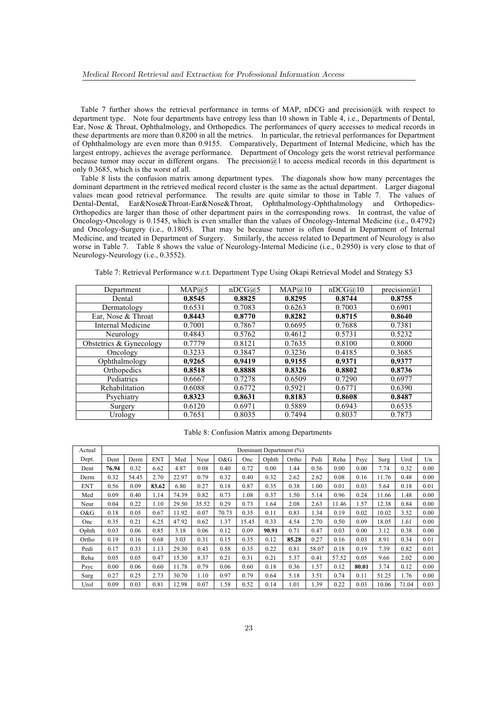Table 7 further shows the retrieval performance in terms of MAP, nDCG and precision@k with respect to department type. Note four departments have entropy less than 10 shown in Table 4, i.e., Departments of Dental, Ear, Nose & Throat, Ophthalmology, and Orthopedics. The performances of query accesses to medical records in these departments are more than 0.8200 in all the metrics. In particular, the retrieval performances for Department of Ophthalmology are even more than 0.9155. Comparatively, Department of Internal Medicine, which has the largest entropy, achieves the average performance. Department of Oncology gets the worst retrieval performance because tumor may occur in different organs. The precision@1 to access medical records in this department is only 0.3685, which is the worst of all.

Table 8 lists the confusion matrix among department types. The diagonals show how many percentages the dominant department in the retrieved medical record cluster is the same as the actual department. Larger diagonal values mean good retrieval performance. The results are quite similar to those in Table 7. The values of Dental-Dental, Ear&Nose&Throat-Ear&Nose&Throat, Ophthalmology-Ophthalmology and Orthopedics-Orthopedics are larger than those of other department pairs in the corresponding rows. In contrast, the value of Oncology-Oncology is 0.1545, which is even smaller than the values of Oncology-Internal Medicine (i.e., 0.4792) and Oncology-Surgery (i.e., 0.1805). That may be because tumor is often found in Department of Internal Medicine, and treated in Department of Surgery. Similarly, the access related to Department of Neurology is also worse in Table 7. Table 8 shows the value of Neurology-Internal Medicine (i.e., 0.2950) is very close to that of Neurology-Neurology (i.e., 0.3552).

Table 7: Retrieval Performance w.r.t. Department Type Using Okapi Retrieval Model and Strategy S3

| Department              | MAP@5  | nDCG@5 | MAP@10 | nDCG@10 | precision $(a)$ 1 |
|-------------------------|--------|--------|--------|---------|-------------------|
| Dental                  | 0.8545 | 0.8825 | 0.8295 | 0.8744  | 0.8755            |
| Dermatology             | 0.6531 | 0.7083 | 0.6263 | 0.7003  | 0.6901            |
| Ear, Nose & Throat      | 0.8443 | 0.8770 | 0.8282 | 0.8715  | 0.8640            |
| Internal Medicine       | 0.7001 | 0.7867 | 0.6695 | 0.7688  | 0.7381            |
| Neurology               | 0.4843 | 0.5762 | 0.4612 | 0.5731  | 0.5232            |
| Obstetrics & Gynecology | 0.7779 | 0.8121 | 0.7635 | 0.8100  | 0.8000            |
| Oncology                | 0.3233 | 0.3847 | 0.3236 | 0.4185  | 0.3685            |
| Ophthalmology           | 0.9265 | 0.9419 | 0.9155 | 0.9371  | 0.9377            |
| Orthopedics             | 0.8518 | 0.8888 | 0.8326 | 0.8802  | 0.8736            |
| Pediatrics              | 0.6667 | 0.7278 | 0.6509 | 0.7290  | 0.6977            |
| Rehabilitation          | 0.6088 | 0.6772 | 0.5921 | 0.6771  | 0.6390            |
| Psychiatry              | 0.8323 | 0.8631 | 0.8183 | 0.8608  | 0.8487            |
| Surgery                 | 0.6120 | 0.6971 | 0.5889 | 0.6943  | 0.6535            |
| Urology                 | 0.7651 | 0.8035 | 0.7494 | 0.8037  | 0.7873            |

#### Table 8: Confusion Matrix among Departments

| Actual     | Dominant Department (%) |       |            |       |       |       |       |       |       |       |       |       |       |       |      |
|------------|-------------------------|-------|------------|-------|-------|-------|-------|-------|-------|-------|-------|-------|-------|-------|------|
| Dept.      | Dent                    | Derm  | <b>ENT</b> | Med   | Neur  | O&G   | Onc   | Ophth | Ortho | Pedi  | Reha  | Psyc  | Surg  | Urol  | Un   |
| Dent       | 76.94                   | 0.32  | 6.62       | 4.87  | 0.08  | 0.40  | 0.72  | 0.00  | 1.44  | 0.56  | 0.00  | 0.00  | 7.74  | 0.32  | 0.00 |
| Derm       | 0.32                    | 54.45 | 2.70       | 22.97 | 0.79  | 0.32  | 0.40  | 0.32  | 2.62  | 2.62  | 0.08  | 0.16  | 11.76 | 0.48  | 0.00 |
| <b>ENT</b> | 0.56                    | 0.09  | 83.62      | 6.80  | 0.27  | 0.18  | 0.87  | 0.35  | 0.38  | 1.00  | 0.01  | 0.03  | 5.64  | 0.18  | 0.01 |
| Med        | 0.09                    | 0.40  | 1.14       | 74.39 | 0.82  | 0.73  | 1.08  | 0.37  | 1.50  | 5.14  | 0.96  | 0.24  | 11.66 | 1.48  | 0.00 |
| Neur       | 0.04                    | 0.22  | 1.10       | 29.50 | 35.52 | 0.29  | 0.73  | 1.64  | 2.08  | 2.63  | 11.46 | 1.57  | 12.38 | 0.84  | 0.00 |
| O&G        | 0.18                    | 0.05  | 0.67       | 11.92 | 0.07  | 70.73 | 0.35  | 0.11  | 0.83  | 1.34  | 0.19  | 0.02  | 10.02 | 3.52  | 0.00 |
| Onc        | 0.35                    | 0.21  | 6.25       | 47.92 | 0.62  | 1.37  | 15.45 | 0.33  | 4.54  | 2.70  | 0.50  | 0.09  | 18.05 | 1.61  | 0.00 |
| Ophth      | 0.03                    | 0.06  | 0.85       | 3.18  | 0.06  | 0.12  | 0.09  | 90.91 | 0.71  | 0.47  | 0.03  | 0.00  | 3.12  | 0.38  | 0.00 |
| Ortho      | 0.19                    | 0.16  | 0.68       | 3.03  | 0.31  | 0.15  | 0.35  | 0.12  | 85.28 | 0.27  | 0.16  | 0.03  | 8.91  | 0.34  | 0.01 |
| Pedi       | 0.17                    | 0.33  | 1.13       | 29.30 | 0.43  | 0.58  | 0.35  | 0.22  | 0.81  | 58.07 | 0.18  | 0.19  | 7.39  | 0.82  | 0.01 |
| Reha       | 0.05                    | 0.05  | 0.47       | 15.30 | 8.37  | 0.21  | 0.31  | 0.21  | 5.37  | 0.41  | 57.52 | 0.05  | 9.66  | 2.02  | 0.00 |
| Psyc       | 0.00                    | 0.06  | 0.60       | 11.78 | 0.79  | 0.06  | 0.60  | 0.18  | 0.36  | 1.57  | 0.12  | 80.01 | 3.74  | 0.12  | 0.00 |
| Surg       | 0.27                    | 0.25  | 2.73       | 30.70 | 1.10  | 0.97  | 0.79  | 0.64  | 5.18  | 3.51  | 0.74  | 0.11  | 51.25 | 1.76  | 0.00 |
| Urol       | 0.09                    | 0.03  | 0.81       | 12.98 | 0.07  | 1.58  | 0.52  | 0.14  | 1.01  | 1.39  | 0.22  | 0.03  | 10.06 | 71.04 | 0.03 |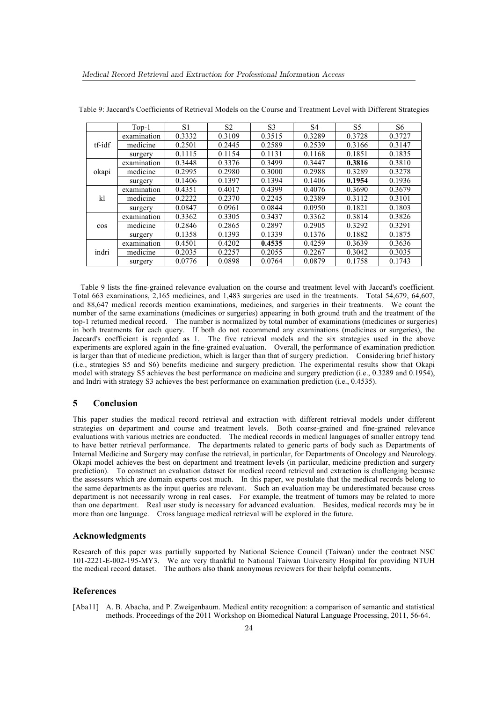|        | Top-1       | S <sub>1</sub> | S <sub>2</sub> | S <sub>3</sub> | S4     | S5     | S6     |
|--------|-------------|----------------|----------------|----------------|--------|--------|--------|
|        | examination | 0.3332         | 0.3109         | 0.3515         | 0.3289 | 0.3728 | 0.3727 |
| tf-idf | medicine    | 0.2501         | 0.2445         | 0.2589         | 0.2539 | 0.3166 | 0.3147 |
|        | surgery     | 0.1115         | 0.1154         | 0.1131         | 0.1168 | 0.1851 | 0.1835 |
|        | examination | 0.3448         | 0.3376         | 0.3499         | 0.3447 | 0.3816 | 0.3810 |
| okapi  | medicine    | 0.2995         | 0.2980         | 0.3000         | 0.2988 | 0.3289 | 0.3278 |
|        | surgery     | 0.1406         | 0.1397         | 0.1394         | 0.1406 | 0.1954 | 0.1936 |
|        | examination | 0.4351         | 0.4017         | 0.4399         | 0.4076 | 0.3690 | 0.3679 |
| kl     | medicine    | 0.2222         | 0.2370         | 0.2245         | 0.2389 | 0.3112 | 0.3101 |
|        | surgery     | 0.0847         | 0.0961         | 0.0844         | 0.0950 | 0.1821 | 0.1803 |
|        | examination | 0.3362         | 0.3305         | 0.3437         | 0.3362 | 0.3814 | 0.3826 |
| $\cos$ | medicine    | 0.2846         | 0.2865         | 0.2897         | 0.2905 | 0.3292 | 0.3291 |
|        | surgery     | 0.1358         | 0.1393         | 0.1339         | 0.1376 | 0.1882 | 0.1875 |
|        | examination | 0.4501         | 0.4202         | 0.4535         | 0.4259 | 0.3639 | 0.3636 |
| indri  | medicine    | 0.2035         | 0.2257         | 0.2055         | 0.2267 | 0.3042 | 0.3035 |
|        | surgery     | 0.0776         | 0.0898         | 0.0764         | 0.0879 | 0.1758 | 0.1743 |

Table 9: Jaccard's Coefficients of Retrieval Models on the Course and Treatment Level with Different Strategies

Table 9 lists the fine-grained relevance evaluation on the course and treatment level with Jaccard's coefficient. Total 663 examinations, 2,165 medicines, and 1,483 surgeries are used in the treatments. Total 54,679, 64,607, and 88,647 medical records mention examinations, medicines, and surgeries in their treatments. We count the number of the same examinations (medicines or surgeries) appearing in both ground truth and the treatment of the top-1 returned medical record. The number is normalized by total number of examinations (medicines or surgeries) in both treatments for each query. If both do not recommend any examinations (medicines or surgeries), the Jaccard's coefficient is regarded as 1. The five retrieval models and the six strategies used in the above experiments are explored again in the fine-grained evaluation. Overall, the performance of examination prediction is larger than that of medicine prediction, which is larger than that of surgery prediction. Considering brief history (i.e., strategies S5 and S6) benefits medicine and surgery prediction. The experimental results show that Okapi model with strategy S5 achieves the best performance on medicine and surgery prediction (i.e., 0.3289 and 0.1954), and Indri with strategy S3 achieves the best performance on examination prediction (i.e., 0.4535).

## **5 Conclusion**

This paper studies the medical record retrieval and extraction with different retrieval models under different strategies on department and course and treatment levels. Both coarse-grained and fine-grained relevance evaluations with various metrics are conducted. The medical records in medical languages of smaller entropy tend to have better retrieval performance. The departments related to generic parts of body such as Departments of Internal Medicine and Surgery may confuse the retrieval, in particular, for Departments of Oncology and Neurology. Okapi model achieves the best on department and treatment levels (in particular, medicine prediction and surgery prediction). To construct an evaluation dataset for medical record retrieval and extraction is challenging because the assessors which are domain experts cost much. In this paper, we postulate that the medical records belong to the same departments as the input queries are relevant. Such an evaluation may be underestimated because cross department is not necessarily wrong in real cases. For example, the treatment of tumors may be related to more than one department. Real user study is necessary for advanced evaluation. Besides, medical records may be in more than one language. Cross language medical retrieval will be explored in the future.

### **Acknowledgments**

Research of this paper was partially supported by National Science Council (Taiwan) under the contract NSC 101-2221-E-002-195-MY3. We are very thankful to National Taiwan University Hospital for providing NTUH the medical record dataset. The authors also thank anonymous reviewers for their helpful comments.

## **References**

[Aba11] A. B. Abacha, and P. Zweigenbaum. Medical entity recognition: a comparison of semantic and statistical methods. Proceedings of the 2011 Workshop on Biomedical Natural Language Processing, 2011, 56-64.